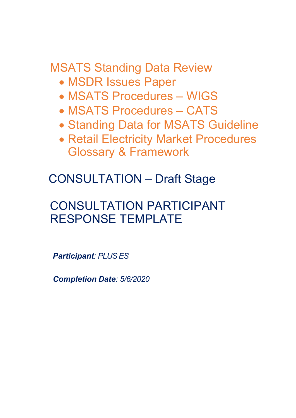MSATS Standing Data Review

- MSDR Issues Paper
- MSATS Procedures WIGS
- MSATS Procedures CATS
- Standing Data for MSATS Guideline
- Retail Electricity Market Procedures Glossary & Framework

CONSULTATION – Draft Stage

# CONSULTATION PARTICIPANT RESPONSE TEMPLATE

*Participant: PLUS ES* 

*Completion Date: 5/6/2020*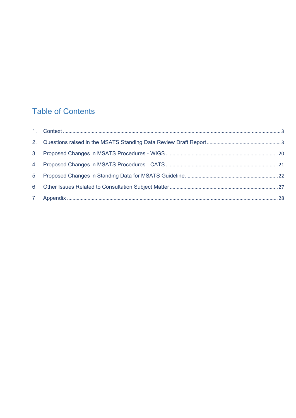# **Table of Contents**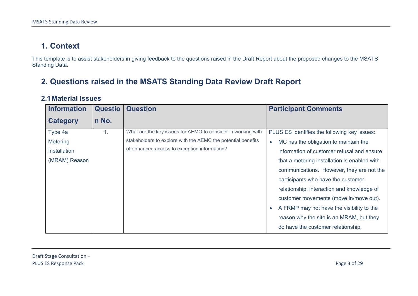# **1. Context**

This template is to assist stakeholders in giving feedback to the questions raised in the Draft Report about the proposed changes to the MSATS Standing Data.

# **2. Questions raised in the MSATS Standing Data Review Draft Report**

#### **2.1Material Issues**

<span id="page-2-1"></span><span id="page-2-0"></span>

| <b>Information</b> | <b>Questio</b> | <b>Question</b>                                              | <b>Participant Comments</b>                            |
|--------------------|----------------|--------------------------------------------------------------|--------------------------------------------------------|
| Category           | n No.          |                                                              |                                                        |
| Type 4a            | 1.             | What are the key issues for AEMO to consider in working with | PLUS ES identifies the following key issues:           |
| Metering           |                | stakeholders to explore with the AEMC the potential benefits | MC has the obligation to maintain the<br>$\bullet$     |
| Installation       |                | of enhanced access to exception information?                 | information of customer refusal and ensure             |
| (MRAM) Reason      |                |                                                              | that a metering installation is enabled with           |
|                    |                |                                                              | communications. However, they are not the              |
|                    |                |                                                              | participants who have the customer                     |
|                    |                |                                                              | relationship, interaction and knowledge of             |
|                    |                |                                                              | customer movements (move in/move out).                 |
|                    |                |                                                              | A FRMP may not have the visibility to the<br>$\bullet$ |
|                    |                |                                                              | reason why the site is an MRAM, but they               |
|                    |                |                                                              | do have the customer relationship,                     |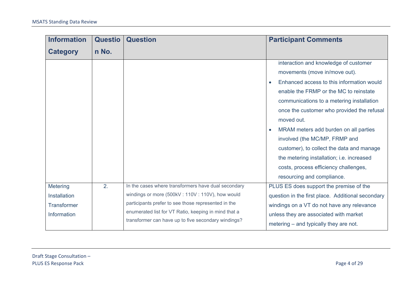| <b>Information</b>                                                   | <b>Questio</b> | <b>Question</b>                                                                                                                                                                                                                                                              | <b>Participant Comments</b>                                                                                                                                                                                                                                                                                                                                                                                                                                                                                       |
|----------------------------------------------------------------------|----------------|------------------------------------------------------------------------------------------------------------------------------------------------------------------------------------------------------------------------------------------------------------------------------|-------------------------------------------------------------------------------------------------------------------------------------------------------------------------------------------------------------------------------------------------------------------------------------------------------------------------------------------------------------------------------------------------------------------------------------------------------------------------------------------------------------------|
| <b>Category</b>                                                      | n No.          |                                                                                                                                                                                                                                                                              |                                                                                                                                                                                                                                                                                                                                                                                                                                                                                                                   |
|                                                                      |                |                                                                                                                                                                                                                                                                              | interaction and knowledge of customer<br>movements (move in/move out).<br>Enhanced access to this information would<br>enable the FRMP or the MC to reinstate<br>communications to a metering installation<br>once the customer who provided the refusal<br>moved out.<br>MRAM meters add burden on all parties<br>involved (the MC/MP, FRMP and<br>customer), to collect the data and manage<br>the metering installation; i.e. increased<br>costs, process efficiency challenges,<br>resourcing and compliance. |
| <b>Metering</b><br>Installation<br><b>Transformer</b><br>Information | 2.             | In the cases where transformers have dual secondary<br>windings or more (500kV: 110V: 110V), how would<br>participants prefer to see those represented in the<br>enumerated list for VT Ratio, keeping in mind that a<br>transformer can have up to five secondary windings? | PLUS ES does support the premise of the<br>question in the first place. Additional secondary<br>windings on a VT do not have any relevance<br>unless they are associated with market<br>metering – and typically they are not.                                                                                                                                                                                                                                                                                    |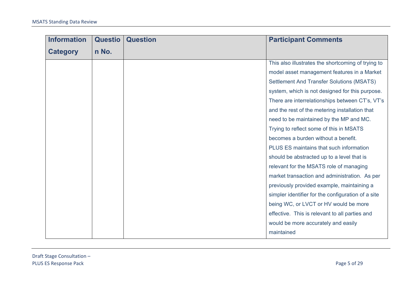| <b>Information</b> | <b>Questio</b> | <b>Question</b> | <b>Participant Comments</b>                        |
|--------------------|----------------|-----------------|----------------------------------------------------|
| <b>Category</b>    | n No.          |                 |                                                    |
|                    |                |                 | This also illustrates the shortcoming of trying to |
|                    |                |                 | model asset management features in a Market        |
|                    |                |                 | <b>Settlement And Transfer Solutions (MSATS)</b>   |
|                    |                |                 | system, which is not designed for this purpose.    |
|                    |                |                 | There are interrelationships between CT's, VT's    |
|                    |                |                 | and the rest of the metering installation that     |
|                    |                |                 | need to be maintained by the MP and MC.            |
|                    |                |                 | Trying to reflect some of this in MSATS            |
|                    |                |                 | becomes a burden without a benefit.                |
|                    |                |                 | PLUS ES maintains that such information            |
|                    |                |                 | should be abstracted up to a level that is         |
|                    |                |                 | relevant for the MSATS role of managing            |
|                    |                |                 | market transaction and administration. As per      |
|                    |                |                 | previously provided example, maintaining a         |
|                    |                |                 | simpler identifier for the configuration of a site |
|                    |                |                 | being WC, or LVCT or HV would be more              |
|                    |                |                 | effective. This is relevant to all parties and     |
|                    |                |                 | would be more accurately and easily                |
|                    |                |                 | maintained                                         |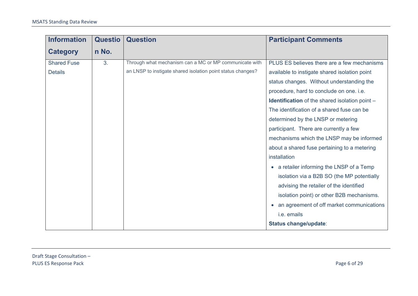| <b>Information</b> | <b>Questio</b> | <b>Question</b>                                             | <b>Participant Comments</b>                           |
|--------------------|----------------|-------------------------------------------------------------|-------------------------------------------------------|
| <b>Category</b>    | n No.          |                                                             |                                                       |
| <b>Shared Fuse</b> | 3.             | Through what mechanism can a MC or MP communicate with      | PLUS ES believes there are a few mechanisms           |
| <b>Details</b>     |                | an LNSP to instigate shared isolation point status changes? | available to instigate shared isolation point         |
|                    |                |                                                             | status changes. Without understanding the             |
|                    |                |                                                             | procedure, hard to conclude on one. i.e.              |
|                    |                |                                                             | <b>Identification</b> of the shared isolation point - |
|                    |                |                                                             | The identification of a shared fuse can be            |
|                    |                |                                                             | determined by the LNSP or metering                    |
|                    |                |                                                             | participant. There are currently a few                |
|                    |                |                                                             | mechanisms which the LNSP may be informed             |
|                    |                |                                                             | about a shared fuse pertaining to a metering          |
|                    |                |                                                             | installation                                          |
|                    |                |                                                             | a retailer informing the LNSP of a Temp<br>$\bullet$  |
|                    |                |                                                             | isolation via a B2B SO (the MP potentially            |
|                    |                |                                                             | advising the retailer of the identified               |
|                    |                |                                                             | isolation point) or other B2B mechanisms.             |
|                    |                |                                                             | an agreement of off market communications             |
|                    |                |                                                             | i.e. emails                                           |
|                    |                |                                                             | Status change/update:                                 |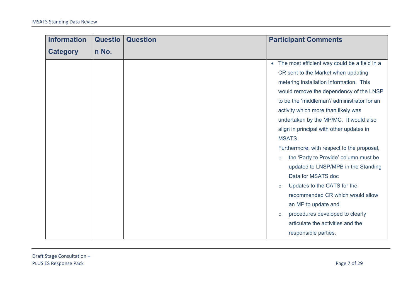| <b>Information</b> | <b>Questio</b> | <b>Question</b> |           | <b>Participant Comments</b>                  |
|--------------------|----------------|-----------------|-----------|----------------------------------------------|
| <b>Category</b>    | n No.          |                 |           |                                              |
|                    |                |                 | $\bullet$ | The most efficient way could be a field in a |
|                    |                |                 |           | CR sent to the Market when updating          |
|                    |                |                 |           | metering installation information. This      |
|                    |                |                 |           | would remove the dependency of the LNSP      |
|                    |                |                 |           | to be the 'middleman'/ administrator for an  |
|                    |                |                 |           | activity which more than likely was          |
|                    |                |                 |           | undertaken by the MP/MC. It would also       |
|                    |                |                 |           | align in principal with other updates in     |
|                    |                |                 |           | <b>MSATS.</b>                                |
|                    |                |                 |           | Furthermore, with respect to the proposal,   |
|                    |                |                 | $\circ$   | the 'Party to Provide' column must be        |
|                    |                |                 |           | updated to LNSP/MPB in the Standing          |
|                    |                |                 |           | Data for MSATS doc                           |
|                    |                |                 | $\circ$   | Updates to the CATS for the                  |
|                    |                |                 |           | recommended CR which would allow             |
|                    |                |                 |           | an MP to update and                          |
|                    |                |                 | $\circ$   | procedures developed to clearly              |
|                    |                |                 |           | articulate the activities and the            |
|                    |                |                 |           | responsible parties.                         |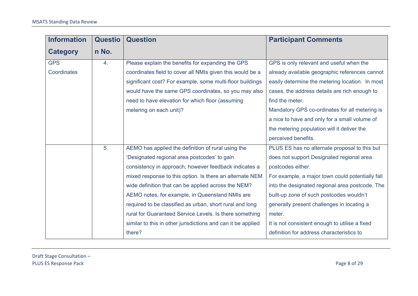| <b>Information</b> | <b>Questio</b> | <b>Question</b>                                              | <b>Participant Comments</b>                      |
|--------------------|----------------|--------------------------------------------------------------|--------------------------------------------------|
| <b>Category</b>    | n No.          |                                                              |                                                  |
| <b>GPS</b>         | 4.             | Please explain the benefits for expanding the GPS            | GPS is only relevant and useful when the         |
| Coordinates        |                | coordinates field to cover all NMIs given this would be a    | already available geographic references cannot   |
|                    |                | significant cost? For example, some multi-floor buildings    | easily determine the metering location. In most  |
|                    |                | would have the same GPS coordinates, so you may also         | cases, the address details are rich enough to    |
|                    |                | need to have elevation for which floor (assuming             | find the meter.                                  |
|                    |                | metering on each unit)?                                      | Mandatory GPS co-ordinates for all metering is   |
|                    |                |                                                              | a nice to have and only for a small volume of    |
|                    |                |                                                              | the metering population will it deliver the      |
|                    |                |                                                              | perceived benefits.                              |
|                    | 5.             | AEMO has applied the definition of rural using the           | PLUS ES has no alternate proposal to this but    |
|                    |                | 'Designated regional area postcodes' to gain                 | does not support Designated regional area        |
|                    |                | consistency in approach, however feedback indicates a        | postcodes either.                                |
|                    |                | mixed response to this option. Is there an alternate NEM     | For example, a major town could potentially fall |
|                    |                | wide definition that can be applied across the NEM?          | into the designated regional area postcode. The  |
|                    |                | AEMO notes, for example, in Queensland NMIs are              | built-up zone of such postcodes wouldn't         |
|                    |                | required to be classified as urban, short rural and long     | generally present challenges in locating a       |
|                    |                | rural for Guaranteed Service Levels. Is there something      | meter.                                           |
|                    |                | similar to this in other jurisdictions and can it be applied | It is not consistent enough to utilise a fixed   |
|                    |                | there?                                                       | definition for address characteristics to        |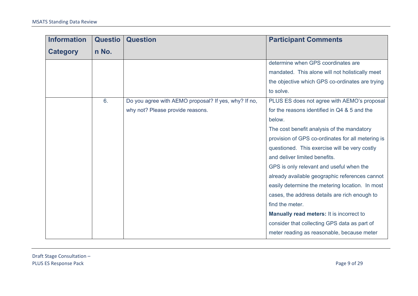| <b>Information</b> | <b>Questio</b> | <b>Question</b>                                      | <b>Participant Comments</b>                       |
|--------------------|----------------|------------------------------------------------------|---------------------------------------------------|
| <b>Category</b>    | n No.          |                                                      |                                                   |
|                    |                |                                                      | determine when GPS coordinates are                |
|                    |                |                                                      | mandated. This alone will not holistically meet   |
|                    |                |                                                      | the objective which GPS co-ordinates are trying   |
|                    |                |                                                      | to solve.                                         |
|                    | 6.             | Do you agree with AEMO proposal? If yes, why? If no, | PLUS ES does not agree with AEMO's proposal       |
|                    |                | why not? Please provide reasons.                     | for the reasons identified in Q4 & 5 and the      |
|                    |                |                                                      | below.                                            |
|                    |                |                                                      | The cost benefit analysis of the mandatory        |
|                    |                |                                                      | provision of GPS co-ordinates for all metering is |
|                    |                |                                                      | questioned. This exercise will be very costly     |
|                    |                |                                                      | and deliver limited benefits.                     |
|                    |                |                                                      | GPS is only relevant and useful when the          |
|                    |                |                                                      | already available geographic references cannot    |
|                    |                |                                                      | easily determine the metering location. In most   |
|                    |                |                                                      | cases, the address details are rich enough to     |
|                    |                |                                                      | find the meter.                                   |
|                    |                |                                                      | <b>Manually read meters: It is incorrect to</b>   |
|                    |                |                                                      | consider that collecting GPS data as part of      |
|                    |                |                                                      | meter reading as reasonable, because meter        |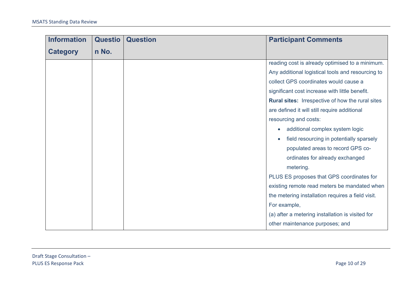| <b>Information</b> | <b>Questio</b> | <b>Question</b> | <b>Participant Comments</b>                             |
|--------------------|----------------|-----------------|---------------------------------------------------------|
| <b>Category</b>    | n No.          |                 |                                                         |
|                    |                |                 | reading cost is already optimised to a minimum.         |
|                    |                |                 | Any additional logistical tools and resourcing to       |
|                    |                |                 | collect GPS coordinates would cause a                   |
|                    |                |                 | significant cost increase with little benefit.          |
|                    |                |                 | <b>Rural sites:</b> Irrespective of how the rural sites |
|                    |                |                 | are defined it will still require additional            |
|                    |                |                 | resourcing and costs:                                   |
|                    |                |                 | additional complex system logic<br>$\bullet$            |
|                    |                |                 | field resourcing in potentially sparsely<br>$\bullet$   |
|                    |                |                 | populated areas to record GPS co-                       |
|                    |                |                 | ordinates for already exchanged                         |
|                    |                |                 | metering.                                               |
|                    |                |                 | PLUS ES proposes that GPS coordinates for               |
|                    |                |                 | existing remote read meters be mandated when            |
|                    |                |                 | the metering installation requires a field visit.       |
|                    |                |                 | For example,                                            |
|                    |                |                 | (a) after a metering installation is visited for        |
|                    |                |                 | other maintenance purposes; and                         |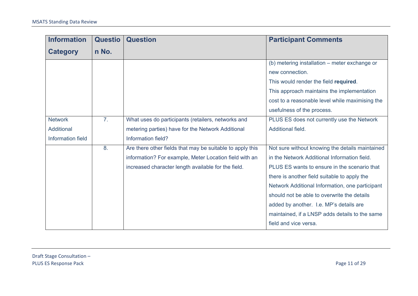| <b>Information</b> | <b>Questio</b> | <b>Question</b>                                           | <b>Participant Comments</b>                     |
|--------------------|----------------|-----------------------------------------------------------|-------------------------------------------------|
| <b>Category</b>    | n No.          |                                                           |                                                 |
|                    |                |                                                           | (b) metering installation – meter exchange or   |
|                    |                |                                                           | new connection.                                 |
|                    |                |                                                           | This would render the field required.           |
|                    |                |                                                           | This approach maintains the implementation      |
|                    |                |                                                           | cost to a reasonable level while maximising the |
|                    |                |                                                           | usefulness of the process.                      |
| <b>Network</b>     | 7 <sub>1</sub> | What uses do participants (retailers, networks and        | PLUS ES does not currently use the Network      |
| Additional         |                | metering parties) have for the Network Additional         | Additional field.                               |
| Information field  |                | Information field?                                        |                                                 |
|                    | 8.             | Are there other fields that may be suitable to apply this | Not sure without knowing the details maintained |
|                    |                | information? For example, Meter Location field with an    | in the Network Additional Information field.    |
|                    |                | increased character length available for the field.       | PLUS ES wants to ensure in the scenario that    |
|                    |                |                                                           | there is another field suitable to apply the    |
|                    |                |                                                           | Network Additional Information, one participant |
|                    |                |                                                           | should not be able to overwrite the details     |
|                    |                |                                                           | added by another. I.e. MP's details are         |
|                    |                |                                                           | maintained, if a LNSP adds details to the same  |
|                    |                |                                                           | field and vice versa.                           |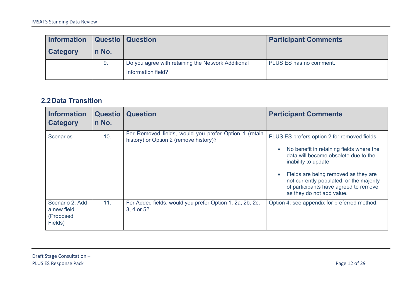| Information   Questio   Question |       |                                                                          | <b>Participant Comments</b> |
|----------------------------------|-------|--------------------------------------------------------------------------|-----------------------------|
| Category                         | n No. |                                                                          |                             |
|                                  | 9.    | Do you agree with retaining the Network Additional<br>Information field? | PLUS ES has no comment.     |

#### **2.2Data Transition**

| <b>Information</b><br><b>Category</b>                  | <b>Questio</b><br>n No. | <b>Question</b>                                                                                 | <b>Participant Comments</b>                                                                                                                                                                                                                                                                                        |
|--------------------------------------------------------|-------------------------|-------------------------------------------------------------------------------------------------|--------------------------------------------------------------------------------------------------------------------------------------------------------------------------------------------------------------------------------------------------------------------------------------------------------------------|
| <b>Scenarios</b>                                       | 10.                     | For Removed fields, would you prefer Option 1 (retain<br>history) or Option 2 (remove history)? | PLUS ES prefers option 2 for removed fields.<br>No benefit in retaining fields where the<br>data will become obsolete due to the<br>inability to update.<br>Fields are being removed as they are<br>not currently populated, or the majority<br>of participants have agreed to remove<br>as they do not add value. |
| Scenario 2: Add<br>a new field<br>(Proposed<br>Fields) | 11.                     | For Added fields, would you prefer Option 1, 2a, 2b, 2c,<br>3, 4 or 5?                          | Option 4: see appendix for preferred method.                                                                                                                                                                                                                                                                       |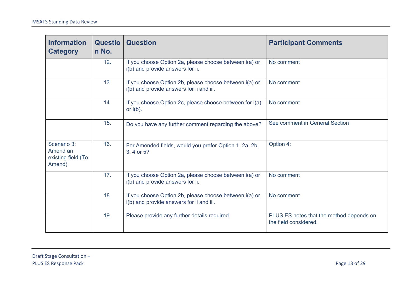| <b>Information</b><br><b>Category</b>                   | <b>Questio</b><br>n No. | <b>Question</b>                                                                                    | <b>Participant Comments</b>                                       |
|---------------------------------------------------------|-------------------------|----------------------------------------------------------------------------------------------------|-------------------------------------------------------------------|
|                                                         | 12.                     | If you choose Option 2a, please choose between i(a) or<br>i(b) and provide answers for ii.         | No comment                                                        |
|                                                         | 13.                     | If you choose Option 2b, please choose between i(a) or<br>i(b) and provide answers for ii and iii. | No comment                                                        |
|                                                         | 14.                     | If you choose Option 2c, please choose between for i(a)<br>or $i(b)$ .                             | No comment                                                        |
|                                                         | 15.                     | Do you have any further comment regarding the above?                                               | See comment in General Section                                    |
| Scenario 3:<br>Amend an<br>existing field (To<br>Amend) | 16.                     | For Amended fields, would you prefer Option 1, 2a, 2b,<br>3, 4 or 5?                               | Option 4:                                                         |
|                                                         | 17.                     | If you choose Option 2a, please choose between i(a) or<br>i(b) and provide answers for ii.         | No comment                                                        |
|                                                         | 18.                     | If you choose Option 2b, please choose between i(a) or<br>i(b) and provide answers for ii and iii. | No comment                                                        |
|                                                         | 19.                     | Please provide any further details required                                                        | PLUS ES notes that the method depends on<br>the field considered. |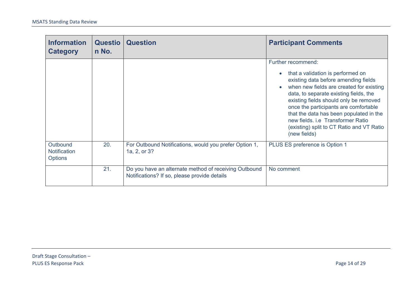| <b>Information</b><br><b>Category</b>             | <b>Questio</b><br>n No. | <b>Question</b>                                                                                       | <b>Participant Comments</b>                                                                                                                                                                                                                                                                                                                                                                                                                     |
|---------------------------------------------------|-------------------------|-------------------------------------------------------------------------------------------------------|-------------------------------------------------------------------------------------------------------------------------------------------------------------------------------------------------------------------------------------------------------------------------------------------------------------------------------------------------------------------------------------------------------------------------------------------------|
|                                                   |                         |                                                                                                       | Further recommend:<br>that a validation is performed on<br>$\bullet$<br>existing data before amending fields<br>when new fields are created for existing<br>$\bullet$<br>data, to separate existing fields, the<br>existing fields should only be removed<br>once the participants are comfortable<br>that the data has been populated in the<br>new fields. i.e Transformer Ratio<br>(existing) split to CT Ratio and VT Ratio<br>(new fields) |
| Outbound<br><b>Notification</b><br><b>Options</b> | 20.                     | For Outbound Notifications, would you prefer Option 1,<br>1a, 2, or 3?                                | PLUS ES preference is Option 1                                                                                                                                                                                                                                                                                                                                                                                                                  |
|                                                   | 21.                     | Do you have an alternate method of receiving Outbound<br>Notifications? If so, please provide details | No comment                                                                                                                                                                                                                                                                                                                                                                                                                                      |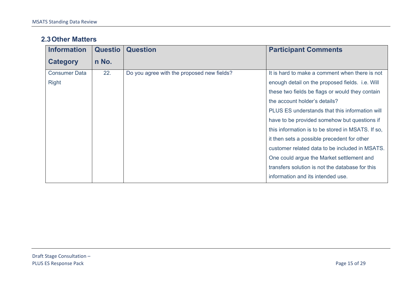#### **2.3Other Matters**

| <b>Information</b>   | <b>Questio</b> | <b>Question</b>                            | <b>Participant Comments</b>                       |
|----------------------|----------------|--------------------------------------------|---------------------------------------------------|
| Category             | n No.          |                                            |                                                   |
| <b>Consumer Data</b> | 22.            | Do you agree with the proposed new fields? | It is hard to make a comment when there is not    |
| <b>Right</b>         |                |                                            | enough detail on the proposed fields. i.e. Will   |
|                      |                |                                            | these two fields be flags or would they contain   |
|                      |                |                                            | the account holder's details?                     |
|                      |                |                                            | PLUS ES understands that this information will    |
|                      |                |                                            | have to be provided somehow but questions if      |
|                      |                |                                            | this information is to be stored in MSATS. If so, |
|                      |                |                                            | it then sets a possible precedent for other       |
|                      |                |                                            | customer related data to be included in MSATS.    |
|                      |                |                                            | One could argue the Market settlement and         |
|                      |                |                                            | transfers solution is not the database for this   |
|                      |                |                                            | information and its intended use.                 |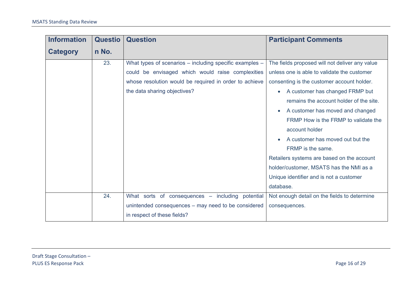| <b>Information</b> | <b>Questio</b> | <b>Question</b>                                         | <b>Participant Comments</b>                    |
|--------------------|----------------|---------------------------------------------------------|------------------------------------------------|
| <b>Category</b>    | n No.          |                                                         |                                                |
|                    | 23.            | What types of scenarios - including specific examples - | The fields proposed will not deliver any value |
|                    |                | could be envisaged which would raise complexities       | unless one is able to validate the customer    |
|                    |                | whose resolution would be required in order to achieve  | consenting is the customer account holder.     |
|                    |                | the data sharing objectives?                            | A customer has changed FRMP but                |
|                    |                |                                                         | remains the account holder of the site.        |
|                    |                |                                                         | A customer has moved and changed               |
|                    |                |                                                         | FRMP How is the FRMP to validate the           |
|                    |                |                                                         | account holder                                 |
|                    |                |                                                         | A customer has moved out but the               |
|                    |                |                                                         | FRMP is the same.                              |
|                    |                |                                                         | Retailers systems are based on the account     |
|                    |                |                                                         | holder/customer, MSATS has the NMI as a        |
|                    |                |                                                         | Unique identifier and is not a customer        |
|                    |                |                                                         | database.                                      |
|                    | 24.            | What sorts of consequences - including potential        | Not enough detail on the fields to determine   |
|                    |                | unintended consequences – may need to be considered     | consequences.                                  |
|                    |                | in respect of these fields?                             |                                                |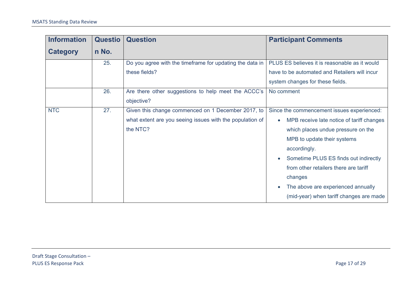| <b>Information</b> | <b>Questio</b> | <b>Question</b>                                          | <b>Participant Comments</b>                   |
|--------------------|----------------|----------------------------------------------------------|-----------------------------------------------|
| <b>Category</b>    | n No.          |                                                          |                                               |
|                    | 25.            | Do you agree with the timeframe for updating the data in | PLUS ES believes it is reasonable as it would |
|                    |                | these fields?                                            | have to be automated and Retailers will incur |
|                    |                |                                                          | system changes for these fields.              |
|                    | 26.            | Are there other suggestions to help meet the ACCC's      | No comment                                    |
|                    |                | objective?                                               |                                               |
| <b>NTC</b>         | 27.            | Given this change commenced on 1 December 2017, to       | Since the commencement issues experienced:    |
|                    |                | what extent are you seeing issues with the population of | MPB receive late notice of tariff changes     |
|                    |                | the NTC?                                                 | which places undue pressure on the            |
|                    |                |                                                          | MPB to update their systems                   |
|                    |                |                                                          | accordingly.                                  |
|                    |                |                                                          | Sometime PLUS ES finds out indirectly         |
|                    |                |                                                          | from other retailers there are tariff         |
|                    |                |                                                          | changes                                       |
|                    |                |                                                          | The above are experienced annually            |
|                    |                |                                                          | (mid-year) when tariff changes are made       |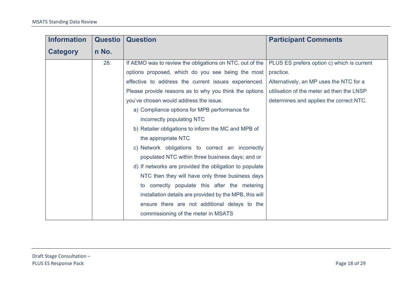| <b>Information</b> | <b>Questio</b> | <b>Question</b>                                          | <b>Participant Comments</b>                |
|--------------------|----------------|----------------------------------------------------------|--------------------------------------------|
| <b>Category</b>    | n No.          |                                                          |                                            |
|                    | 28.            | If AEMO was to review the obligations on NTC, out of the | PLUS ES prefers option c) which is current |
|                    |                | options proposed, which do you see being the most        | practice.                                  |
|                    |                | effective to address the current issues experienced.     | Alternatively, an MP uses the NTC for a    |
|                    |                | Please provide reasons as to why you think the options   | utilisation of the meter ad then the LNSP  |
|                    |                | you've chosen would address the issue.                   | determines and applies the correct NTC.    |
|                    |                | a) Compliance options for MPB performance for            |                                            |
|                    |                | incorrectly populating NTC                               |                                            |
|                    |                | b) Retailer obligations to inform the MC and MPB of      |                                            |
|                    |                | the appropriate NTC                                      |                                            |
|                    |                | c) Network obligations to correct an incorrectly         |                                            |
|                    |                | populated NTC within three business days; and or         |                                            |
|                    |                | d) If networks are provided the obligation to populate   |                                            |
|                    |                | NTC then they will have only three business days         |                                            |
|                    |                | to correctly populate this after the metering            |                                            |
|                    |                | installation details are provided by the MPB, this will  |                                            |
|                    |                | ensure there are not additional delays to the            |                                            |
|                    |                | commissioning of the meter in MSATS                      |                                            |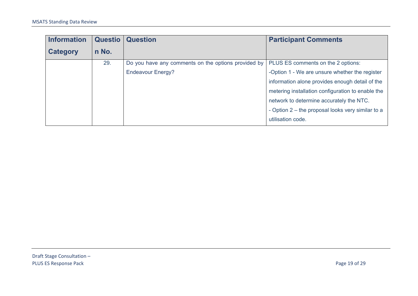| <b>Information</b> | <b>Questio</b> | <b>Question</b>                                     | <b>Participant Comments</b>                       |
|--------------------|----------------|-----------------------------------------------------|---------------------------------------------------|
| <b>Category</b>    | n No.          |                                                     |                                                   |
|                    | 29.            | Do you have any comments on the options provided by | PLUS ES comments on the 2 options:                |
|                    |                | <b>Endeavour Energy?</b>                            | -Option 1 - We are unsure whether the register    |
|                    |                |                                                     | information alone provides enough detail of the   |
|                    |                |                                                     | metering installation configuration to enable the |
|                    |                |                                                     | network to determine accurately the NTC.          |
|                    |                |                                                     | - Option 2 – the proposal looks very similar to a |
|                    |                |                                                     | utilisation code.                                 |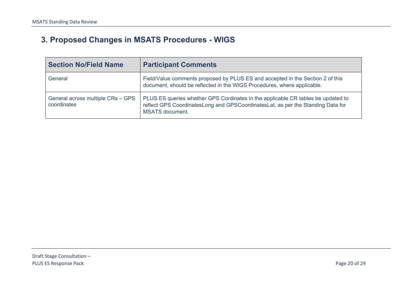# **3. Proposed Changes in MSATS Procedures - WIGS**

<span id="page-19-0"></span>

| <b>Section No/Field Name</b>                     | <b>Participant Comments</b>                                                                                                                                                                      |
|--------------------------------------------------|--------------------------------------------------------------------------------------------------------------------------------------------------------------------------------------------------|
| General                                          | Field/Value comments proposed by PLUS ES and accepted in the Section 2 of this<br>document, should be reflected in the WIGS Procedures, where applicable.                                        |
| General across multiple CRs - GPS<br>coordinates | PLUS ES queries whether GPS Cordinates in the applicable CR tables be updated to<br>reflect GPS Coordinates Long and GPS Coordinates Lat, as per the Standing Data for<br><b>MSATS</b> document. |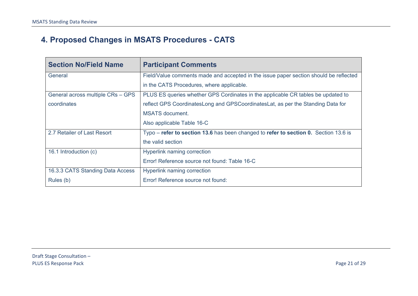# **4. Proposed Changes in MSATS Procedures - CATS**

<span id="page-20-0"></span>

| <b>Section No/Field Name</b>      | <b>Participant Comments</b>                                                            |
|-----------------------------------|----------------------------------------------------------------------------------------|
| General                           | Field/Value comments made and accepted in the issue paper section should be reflected  |
|                                   | in the CATS Procedures, where applicable.                                              |
| General across multiple CRs - GPS | PLUS ES queries whether GPS Cordinates in the applicable CR tables be updated to       |
| coordinates                       | reflect GPS CoordinatesLong and GPSCoordinatesLat, as per the Standing Data for        |
|                                   | <b>MSATS</b> document.                                                                 |
|                                   | Also applicable Table 16-C                                                             |
| 2.7 Retailer of Last Resort       | $Type - refer to section 13.6$ has been changed to refer to section 0. Section 13.6 is |
|                                   | the valid section                                                                      |
| 16.1 Introduction (c)             | <b>Hyperlink naming correction</b>                                                     |
|                                   | Error! Reference source not found: Table 16-C                                          |
| 16.3.3 CATS Standing Data Access  | <b>Hyperlink naming correction</b>                                                     |
| Rules (b)                         | Error! Reference source not found:                                                     |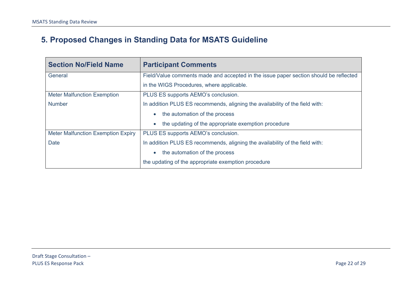# **5. Proposed Changes in Standing Data for MSATS Guideline**

<span id="page-21-0"></span>

| <b>Section No/Field Name</b>              | <b>Participant Comments</b>                                                           |
|-------------------------------------------|---------------------------------------------------------------------------------------|
| General                                   | Field/Value comments made and accepted in the issue paper section should be reflected |
|                                           | in the WIGS Procedures, where applicable.                                             |
| <b>Meter Malfunction Exemption</b>        | PLUS ES supports AEMO's conclusion.                                                   |
| <b>Number</b>                             | In addition PLUS ES recommends, aligning the availability of the field with:          |
|                                           | the automation of the process                                                         |
|                                           | the updating of the appropriate exemption procedure                                   |
| <b>Meter Malfunction Exemption Expiry</b> | PLUS ES supports AEMO's conclusion.                                                   |
| <b>Date</b>                               | In addition PLUS ES recommends, aligning the availability of the field with:          |
|                                           | the automation of the process                                                         |
|                                           | the updating of the appropriate exemption procedure                                   |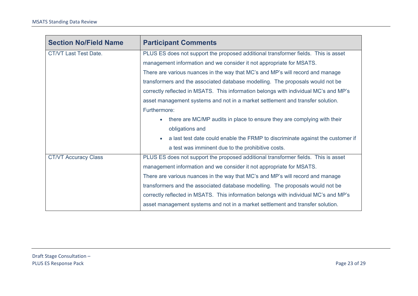| <b>Section No/Field Name</b> | <b>Participant Comments</b>                                                                 |
|------------------------------|---------------------------------------------------------------------------------------------|
| CT/VT Last Test Date.        | PLUS ES does not support the proposed additional transformer fields. This is asset          |
|                              | management information and we consider it not appropriate for MSATS.                        |
|                              | There are various nuances in the way that MC's and MP's will record and manage              |
|                              | transformers and the associated database modelling. The proposals would not be              |
|                              | correctly reflected in MSATS. This information belongs with individual MC's and MP's        |
|                              | asset management systems and not in a market settlement and transfer solution.              |
|                              | Furthermore:                                                                                |
|                              | there are MC/MP audits in place to ensure they are complying with their<br>$\bullet$        |
|                              | obligations and                                                                             |
|                              | a last test date could enable the FRMP to discriminate against the customer if<br>$\bullet$ |
|                              | a test was imminent due to the prohibitive costs.                                           |
| <b>CT/VT Accuracy Class</b>  | PLUS ES does not support the proposed additional transformer fields. This is asset          |
|                              | management information and we consider it not appropriate for MSATS.                        |
|                              | There are various nuances in the way that MC's and MP's will record and manage              |
|                              | transformers and the associated database modelling. The proposals would not be              |
|                              | correctly reflected in MSATS. This information belongs with individual MC's and MP's        |
|                              | asset management systems and not in a market settlement and transfer solution.              |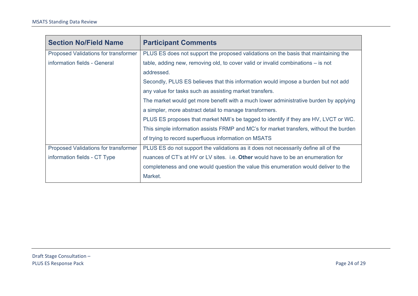| <b>Section No/Field Name</b>                | <b>Participant Comments</b>                                                            |
|---------------------------------------------|----------------------------------------------------------------------------------------|
| <b>Proposed Validations for transformer</b> | PLUS ES does not support the proposed validations on the basis that maintaining the    |
| information fields - General                | table, adding new, removing old, to cover valid or invalid combinations $-$ is not     |
|                                             | addressed.                                                                             |
|                                             | Secondly, PLUS ES believes that this information would impose a burden but not add     |
|                                             | any value for tasks such as assisting market transfers.                                |
|                                             | The market would get more benefit with a much lower administrative burden by applying  |
|                                             | a simpler, more abstract detail to manage transformers.                                |
|                                             | PLUS ES proposes that market NMI's be tagged to identify if they are HV, LVCT or WC.   |
|                                             | This simple information assists FRMP and MC's for market transfers, without the burden |
|                                             | of trying to record superfluous information on MSATS                                   |
| Proposed Validations for transformer        | PLUS ES do not support the validations as it does not necessarily define all of the    |
| information fields - CT Type                | nuances of CT's at HV or LV sites. i.e. Other would have to be an enumeration for      |
|                                             | completeness and one would question the value this enumeration would deliver to the    |
|                                             | Market.                                                                                |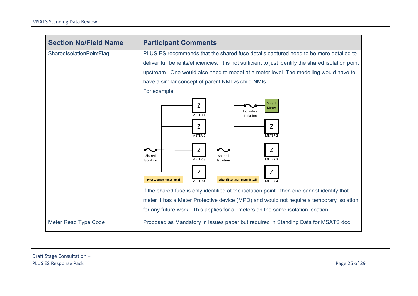| <b>Section No/Field Name</b> | <b>Participant Comments</b>                                                                                                                                                                                                                                                         |
|------------------------------|-------------------------------------------------------------------------------------------------------------------------------------------------------------------------------------------------------------------------------------------------------------------------------------|
| SharedIsolationPointFlag     | PLUS ES recommends that the shared fuse details captured need to be more detailed to                                                                                                                                                                                                |
|                              | deliver full benefits/efficiencies. It is not sufficient to just identify the shared isolation point                                                                                                                                                                                |
|                              | upstream. One would also need to model at a meter level. The modelling would have to                                                                                                                                                                                                |
|                              | have a similar concept of parent NMI vs child NMIs.                                                                                                                                                                                                                                 |
|                              | For example,                                                                                                                                                                                                                                                                        |
|                              | Smart<br>Z<br>Meter<br>Individual<br>METER 1<br>Isolation<br>Z<br>Z<br>METER 2<br>METER 2<br>Z<br>Z<br>Shared<br>Shared<br>METER 3<br>METER 3<br>Isolation<br>Isolation<br>Z<br>Z<br>After (first) smart meter install<br><b>Prior to smart meter install</b><br>METER 4<br>METER 4 |
|                              | If the shared fuse is only identified at the isolation point, then one cannot identify that                                                                                                                                                                                         |
|                              | meter 1 has a Meter Protective device (MPD) and would not require a temporary isolation                                                                                                                                                                                             |
|                              | for any future work. This applies for all meters on the same isolation location.                                                                                                                                                                                                    |
| <b>Meter Read Type Code</b>  | Proposed as Mandatory in issues paper but required in Standing Data for MSATS doc.                                                                                                                                                                                                  |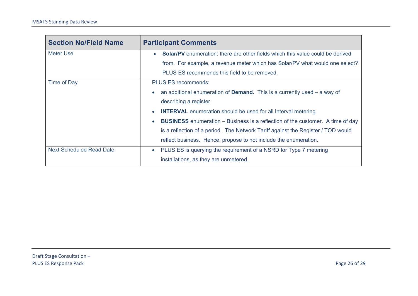| <b>Section No/Field Name</b>    | <b>Participant Comments</b>                                                                        |
|---------------------------------|----------------------------------------------------------------------------------------------------|
| Meter Use                       | <b>Solar/PV</b> enumeration: there are other fields which this value could be derived<br>$\bullet$ |
|                                 | from. For example, a revenue meter which has Solar/PV what would one select?                       |
|                                 | PLUS ES recommends this field to be removed.                                                       |
| Time of Day                     | <b>PLUS ES recommends:</b>                                                                         |
|                                 | an additional enumeration of <b>Demand.</b> This is a currently used $-$ a way of<br>$\bullet$     |
|                                 | describing a register.                                                                             |
|                                 | <b>INTERVAL</b> enumeration should be used for all Interval metering.<br>$\bullet$                 |
|                                 | <b>BUSINESS</b> enumeration – Business is a reflection of the customer. A time of day<br>$\bullet$ |
|                                 | is a reflection of a period. The Network Tariff against the Register / TOD would                   |
|                                 | reflect business. Hence, propose to not include the enumeration.                                   |
| <b>Next Scheduled Read Date</b> | PLUS ES is querying the requirement of a NSRD for Type 7 metering<br>$\bullet$                     |
|                                 | installations, as they are unmetered.                                                              |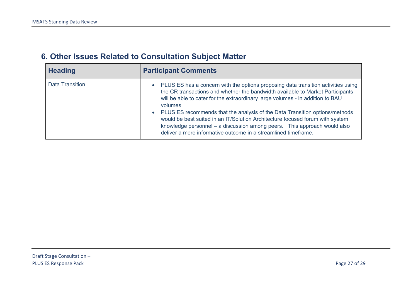<span id="page-26-0"></span>

| <b>Heading</b>         | <b>Participant Comments</b>                                                                                                                                                                                                                                                                                                                                                                                                                                                                                                                                                                    |
|------------------------|------------------------------------------------------------------------------------------------------------------------------------------------------------------------------------------------------------------------------------------------------------------------------------------------------------------------------------------------------------------------------------------------------------------------------------------------------------------------------------------------------------------------------------------------------------------------------------------------|
| <b>Data Transition</b> | PLUS ES has a concern with the options proposing data transition activities using<br>$\bullet$<br>the CR transactions and whether the bandwidth available to Market Participants<br>will be able to cater for the extraordinary large volumes - in addition to BAU<br>volumes.<br>• PLUS ES recommends that the analysis of the Data Transition options/methods<br>would be best suited in an IT/Solution Architecture focused forum with system<br>knowledge personnel – a discussion among peers. This approach would also<br>deliver a more informative outcome in a streamlined timeframe. |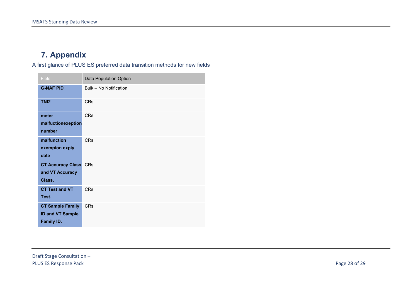# **7. Appendix**

A first glance of PLUS ES preferred data transition methods for new fields

<span id="page-27-0"></span>

| Field                                                                   | Data Population Option |
|-------------------------------------------------------------------------|------------------------|
| <b>G-NAF PID</b>                                                        | Bulk - No Notification |
| TN <sub>12</sub>                                                        | <b>CR<sub>S</sub></b>  |
| meter<br>malfuctionexeption<br>number                                   | <b>CRs</b>             |
| malfunction<br>exempion expiy<br>date                                   | <b>CRs</b>             |
| <b>CT Accuracy Class</b><br>and VT Accuracy<br>Class.                   | <b>CRs</b>             |
| <b>CT Test and VT</b><br>Test.                                          | CRs                    |
| <b>CT Sample Family</b><br><b>ID and VT Sample</b><br><b>Family ID.</b> | <b>CRs</b>             |